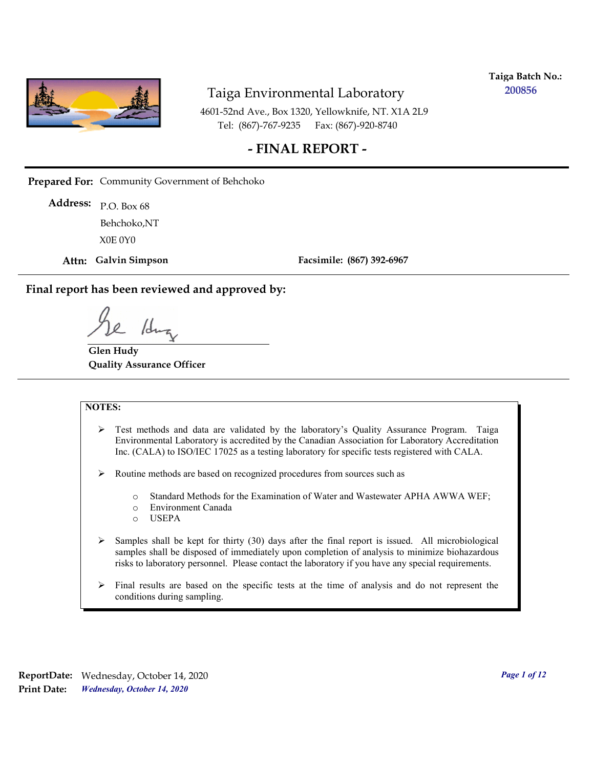

**Taiga Batch No.: 200856**

4601-52nd Ave., Box 1320, Yellowknife, NT. X1A 2L9 Tel: (867)-767-9235 Fax: (867)-920-8740

## **- FINAL REPORT -**

**Prepared For:** Community Government of Behchoko

P.O. Box 68 **Address:** X0E 0Y0 Behchoko,NT

**Attn: Galvin Simpson**

**Facsimile: (867) 392-6967**

**Final report has been reviewed and approved by:**

1dr

**Glen Hudy Quality Assurance Officer**

#### **NOTES:**

- $\triangleright$  Test methods and data are validated by the laboratory's Quality Assurance Program. Taiga Environmental Laboratory is accredited by the Canadian Association for Laboratory Accreditation Inc. (CALA) to ISO/IEC 17025 as a testing laboratory for specific tests registered with CALA.
- Routine methods are based on recognized procedures from sources such as
	- o Standard Methods for the Examination of Water and Wastewater APHA AWWA WEF;
	- o Environment Canada
	- o USEPA
- $\triangleright$  Samples shall be kept for thirty (30) days after the final report is issued. All microbiological samples shall be disposed of immediately upon completion of analysis to minimize biohazardous risks to laboratory personnel. Please contact the laboratory if you have any special requirements.
- $\triangleright$  Final results are based on the specific tests at the time of analysis and do not represent the conditions during sampling.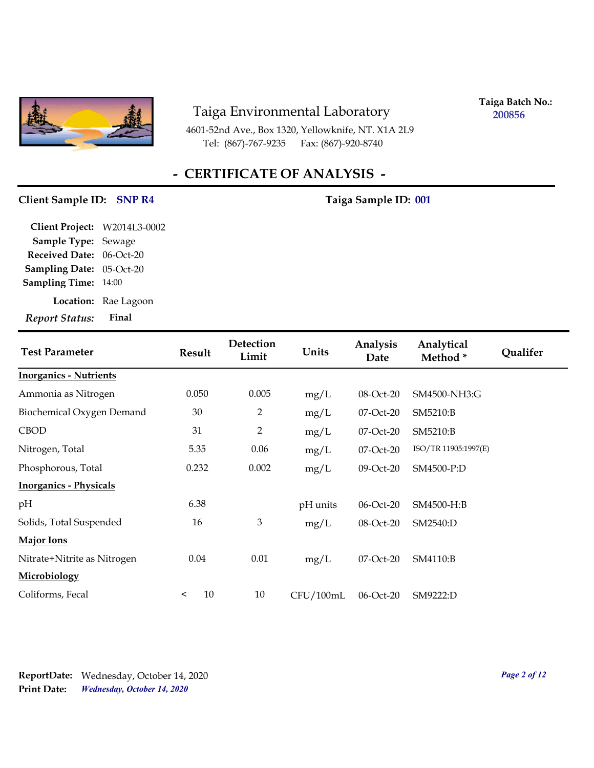

4601-52nd Ave., Box 1320, Yellowknife, NT. X1A 2L9 Tel: (867)-767-9235 Fax: (867)-920-8740

**Taiga Batch No.: 200856**

## **- CERTIFICATE OF ANALYSIS -**

### Client Sample ID: SNP R4 Taiga Sample ID: 001

| Client Project: W2014L3-0002<br><b>Sample Type: Sewage</b> |                      |
|------------------------------------------------------------|----------------------|
| Received Date: 06-Oct-20                                   |                      |
| <b>Sampling Date: 05-Oct-20</b>                            |                      |
| <b>Sampling Time: 14:00</b>                                |                      |
|                                                            | Location: Rae Lagoon |
| <b>Report Status:</b>                                      | Final                |
|                                                            |                      |

| <b>Test Parameter</b>         | <b>Result</b> | Detection<br>Limit | Units     | Analysis<br>Date | Analytical<br>Method* | <b>Qualifer</b> |
|-------------------------------|---------------|--------------------|-----------|------------------|-----------------------|-----------------|
| <b>Inorganics - Nutrients</b> |               |                    |           |                  |                       |                 |
| Ammonia as Nitrogen           | 0.050         | 0.005              | mg/L      | 08-Oct-20        | SM4500-NH3:G          |                 |
| Biochemical Oxygen Demand     | 30            | $\overline{2}$     | mg/L      | 07-Oct-20        | SM5210:B              |                 |
| <b>CBOD</b>                   | 31            | 2                  | mg/L      | 07-Oct-20        | SM5210:B              |                 |
| Nitrogen, Total               | 5.35          | 0.06               | mg/L      | 07-Oct-20        | ISO/TR 11905:1997(E)  |                 |
| Phosphorous, Total            | 0.232         | 0.002              | mg/L      | 09-Oct-20        | SM4500-P:D            |                 |
| <b>Inorganics - Physicals</b> |               |                    |           |                  |                       |                 |
| pH                            | 6.38          |                    | pH units  | 06-Oct-20        | SM4500-H:B            |                 |
| Solids, Total Suspended       | 16            | 3                  | mg/L      | 08-Oct-20        | SM2540:D              |                 |
| <b>Major Ions</b>             |               |                    |           |                  |                       |                 |
| Nitrate+Nitrite as Nitrogen   | 0.04          | 0.01               | mg/L      | $07$ -Oct- $20$  | SM4110:B              |                 |
| <b>Microbiology</b>           |               |                    |           |                  |                       |                 |
| Coliforms, Fecal              | 10<br>$\prec$ | 10                 | CFU/100mL | 06-Oct-20        | SM9222:D              |                 |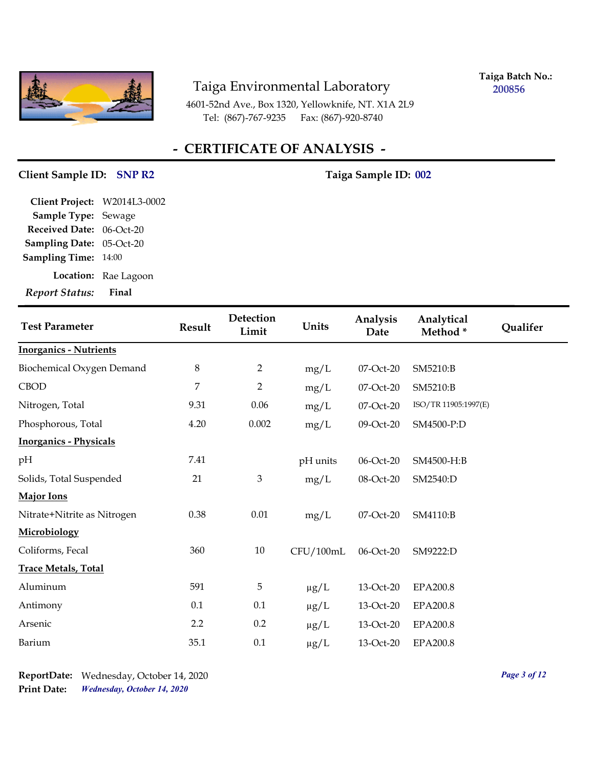

**Taiga Batch No.: 200856**

4601-52nd Ave., Box 1320, Yellowknife, NT. X1A 2L9 Tel: (867)-767-9235 Fax: (867)-920-8740

## **- CERTIFICATE OF ANALYSIS -**

### Client Sample ID: SNP R2 Taiga Sample ID: 002

| Report Status:               |
|------------------------------|
| Location: Rae Lagoon         |
| <b>Sampling Time:</b> 14:00  |
| Sampling Date: 05-Oct-20     |
| Received Date: 06-Oct-20     |
| Sample Type: Sewage          |
| Client Project: W2014L3-0002 |
|                              |

| <b>Test Parameter</b>         | <b>Result</b>    | Detection<br>Limit | Units     | Analysis<br>Date | Analytical<br>Method* | Qualifer |
|-------------------------------|------------------|--------------------|-----------|------------------|-----------------------|----------|
| <b>Inorganics - Nutrients</b> |                  |                    |           |                  |                       |          |
| Biochemical Oxygen Demand     | $\,8\,$          | $\overline{2}$     | mg/L      | 07-Oct-20        | SM5210:B              |          |
| <b>CBOD</b>                   | $\overline{7}$   | $\overline{2}$     | mg/L      | 07-Oct-20        | SM5210:B              |          |
| Nitrogen, Total               | 9.31             | 0.06               | mg/L      | 07-Oct-20        | ISO/TR 11905:1997(E)  |          |
| Phosphorous, Total            | 4.20             | 0.002              | mg/L      | 09-Oct-20        | SM4500-P:D            |          |
| <b>Inorganics - Physicals</b> |                  |                    |           |                  |                       |          |
| pH                            | 7.41             |                    | pH units  | 06-Oct-20        | SM4500-H:B            |          |
| Solids, Total Suspended       | 21               | $\mathfrak{Z}$     | mg/L      | 08-Oct-20        | SM2540:D              |          |
| <b>Major Ions</b>             |                  |                    |           |                  |                       |          |
| Nitrate+Nitrite as Nitrogen   | 0.38             | 0.01               | mg/L      | 07-Oct-20        | SM4110:B              |          |
| Microbiology                  |                  |                    |           |                  |                       |          |
| Coliforms, Fecal              | 360              | 10                 | CFU/100mL | 06-Oct-20        | SM9222:D              |          |
| <b>Trace Metals, Total</b>    |                  |                    |           |                  |                       |          |
| Aluminum                      | 591              | 5                  | $\mu g/L$ | 13-Oct-20        | EPA200.8              |          |
| Antimony                      | 0.1              | 0.1                | $\mu g/L$ | 13-Oct-20        | <b>EPA200.8</b>       |          |
| Arsenic                       | $2.2\phantom{0}$ | 0.2                | $\mu$ g/L | 13-Oct-20        | <b>EPA200.8</b>       |          |
| Barium                        | 35.1             | $0.1\,$            | $\mu$ g/L | 13-Oct-20        | <b>EPA200.8</b>       |          |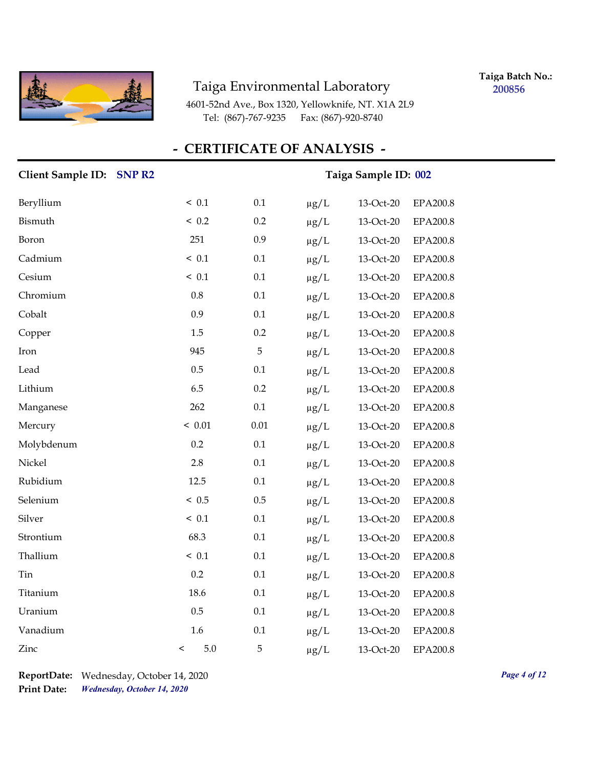

**Taiga Batch No.: 200856**

4601-52nd Ave., Box 1320, Yellowknife, NT. X1A 2L9 Tel: (867)-767-9235 Fax: (867)-920-8740

## **- CERTIFICATE OF ANALYSIS -**

| Client Sample ID: SNP R2 |              |          | Taiga Sample ID: 002 |           |                 |  |  |
|--------------------------|--------------|----------|----------------------|-----------|-----------------|--|--|
| Beryllium                | ~< 0.1       | 0.1      | $\mu g/L$            | 13-Oct-20 | EPA200.8        |  |  |
| Bismuth                  | < 0.2        | 0.2      | $\mu$ g/L            | 13-Oct-20 | EPA200.8        |  |  |
| Boron                    | 251          | 0.9      | $\mu g/L$            | 13-Oct-20 | EPA200.8        |  |  |
| Cadmium                  | < 0.1        | 0.1      | $\mu g/L$            | 13-Oct-20 | <b>EPA200.8</b> |  |  |
| Cesium                   | ~< 0.1       | 0.1      | $\mu g/L$            | 13-Oct-20 | <b>EPA200.8</b> |  |  |
| Chromium                 | $0.8\,$      | 0.1      | $\mu g/L$            | 13-Oct-20 | <b>EPA200.8</b> |  |  |
| Cobalt                   | 0.9          | 0.1      | $\mu g/L$            | 13-Oct-20 | <b>EPA200.8</b> |  |  |
| Copper                   | 1.5          | 0.2      | $\mu g/L$            | 13-Oct-20 | <b>EPA200.8</b> |  |  |
| Iron                     | 945          | 5        | $\mu g/L$            | 13-Oct-20 | <b>EPA200.8</b> |  |  |
| Lead                     | 0.5          | 0.1      | $\mu g/L$            | 13-Oct-20 | <b>EPA200.8</b> |  |  |
| Lithium                  | 6.5          | 0.2      | $\mu g/L$            | 13-Oct-20 | <b>EPA200.8</b> |  |  |
| Manganese                | 262          | 0.1      | $\mu g/L$            | 13-Oct-20 | <b>EPA200.8</b> |  |  |
| Mercury                  | < 0.01       | $0.01\,$ | $\mu g/L$            | 13-Oct-20 | <b>EPA200.8</b> |  |  |
| Molybdenum               | 0.2          | 0.1      | $\mu g/L$            | 13-Oct-20 | <b>EPA200.8</b> |  |  |
| Nickel                   | 2.8          | 0.1      | $\mu g/L$            | 13-Oct-20 | <b>EPA200.8</b> |  |  |
| Rubidium                 | 12.5         | 0.1      | $\mu g/L$            | 13-Oct-20 | EPA200.8        |  |  |
| Selenium                 | ~< 0.5       | 0.5      | $\mu g/L$            | 13-Oct-20 | <b>EPA200.8</b> |  |  |
| Silver                   | ~< 0.1       | $0.1\,$  | $\mu g/L$            | 13-Oct-20 | <b>EPA200.8</b> |  |  |
| Strontium                | 68.3         | 0.1      | $\mu g/L$            | 13-Oct-20 | <b>EPA200.8</b> |  |  |
| Thallium                 | ~< 0.1       | 0.1      | $\mu g/L$            | 13-Oct-20 | <b>EPA200.8</b> |  |  |
| Tin                      | 0.2          | 0.1      | $\mu g/L$            | 13-Oct-20 | EPA200.8        |  |  |
| Titanium                 | 18.6         | 0.1      | $\mu g/L$            | 13-Oct-20 | EPA200.8        |  |  |
| Uranium                  | $0.5\,$      | 0.1      | $\mu g/L$            | 13-Oct-20 | <b>EPA200.8</b> |  |  |
| Vanadium                 | 1.6          | $0.1\,$  | $\mu g/L$            | 13-Oct-20 | <b>EPA200.8</b> |  |  |
| Zinc                     | 5.0<br>$\,<$ | 5        | $\mu$ g/L            | 13-Oct-20 | <b>EPA200.8</b> |  |  |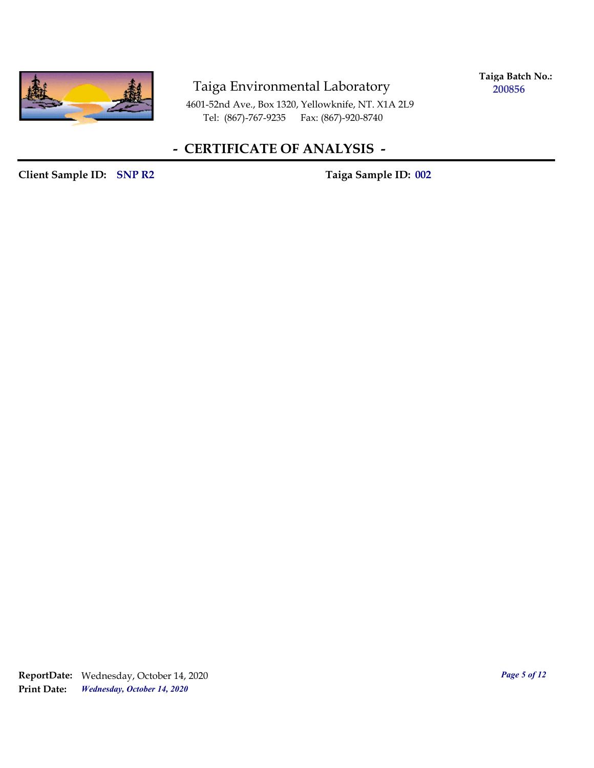

**Taiga Batch No.: 200856**

4601-52nd Ave., Box 1320, Yellowknife, NT. X1A 2L9 Tel: (867)-767-9235 Fax: (867)-920-8740

## **- CERTIFICATE OF ANALYSIS -**

Client Sample ID: SNP R2 Taiga Sample ID: 002

*Wednesday, October 14, 2020* **Print Date: ReportDate:** Wednesday, October 14, 2020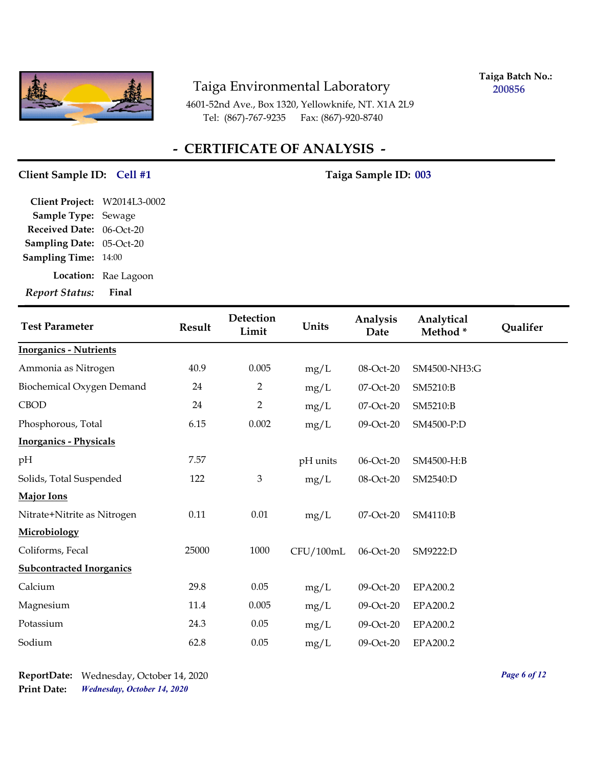

**Taiga Batch No.: 200856**

4601-52nd Ave., Box 1320, Yellowknife, NT. X1A 2L9 Tel: (867)-767-9235 Fax: (867)-920-8740

## **- CERTIFICATE OF ANALYSIS -**

### Client Sample ID: Cell #1 7aiga Sample ID: 003

| <b>Report Status:</b>           | Final                |
|---------------------------------|----------------------|
|                                 | Location: Rae Lagoon |
| <b>Sampling Time:</b> 14:00     |                      |
| <b>Sampling Date: 05-Oct-20</b> |                      |
| <b>Received Date: 06-Oct-20</b> |                      |
| Sample Type: Sewage             |                      |
| Client Project: W2014L3-0002    |                      |
|                                 |                      |

| <b>Test Parameter</b>           | <b>Result</b> | Detection<br>Limit | Units     | Analysis<br>Date | Analytical<br>Method* | Qualifer |
|---------------------------------|---------------|--------------------|-----------|------------------|-----------------------|----------|
| <b>Inorganics - Nutrients</b>   |               |                    |           |                  |                       |          |
| Ammonia as Nitrogen             | 40.9          | 0.005              | mg/L      | 08-Oct-20        | SM4500-NH3:G          |          |
| Biochemical Oxygen Demand       | 24            | 2                  | mg/L      | 07-Oct-20        | SM5210:B              |          |
| <b>CBOD</b>                     | 24            | $\overline{2}$     | mg/L      | 07-Oct-20        | SM5210:B              |          |
| Phosphorous, Total              | 6.15          | 0.002              | mg/L      | 09-Oct-20        | SM4500-P:D            |          |
| <b>Inorganics - Physicals</b>   |               |                    |           |                  |                       |          |
| pН                              | 7.57          |                    | pH units  | 06-Oct-20        | SM4500-H:B            |          |
| Solids, Total Suspended         | 122           | 3                  | mg/L      | 08-Oct-20        | SM2540:D              |          |
| <b>Major Ions</b>               |               |                    |           |                  |                       |          |
| Nitrate+Nitrite as Nitrogen     | 0.11          | 0.01               | mg/L      | 07-Oct-20        | SM4110:B              |          |
| Microbiology                    |               |                    |           |                  |                       |          |
| Coliforms, Fecal                | 25000         | 1000               | CFU/100mL | 06-Oct-20        | SM9222:D              |          |
| <b>Subcontracted Inorganics</b> |               |                    |           |                  |                       |          |
| Calcium                         | 29.8          | 0.05               | mg/L      | 09-Oct-20        | EPA200.2              |          |
| Magnesium                       | 11.4          | 0.005              | mg/L      | 09-Oct-20        | EPA200.2              |          |
| Potassium                       | 24.3          | 0.05               | mg/L      | 09-Oct-20        | EPA200.2              |          |
| Sodium                          | 62.8          | 0.05               | mg/L      | 09-Oct-20        | EPA200.2              |          |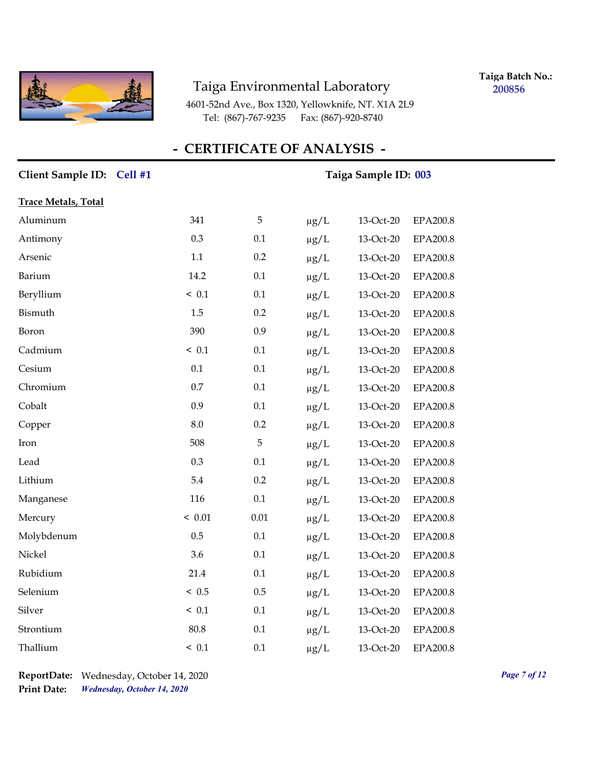

**Taiga Batch No.: 200856**

4601-52nd Ave., Box 1320, Yellowknife, NT. X1A 2L9 Tel: (867)-767-9235 Fax: (867)-920-8740

### **- CERTIFICATE OF ANALYSIS -**

# Client Sample ID: Cell #1 Taiga Sample ID: 003 **Trace Metals, Total** Aluminum 341 5 µg/L 13-Oct-20 EPA200.8 Antimony 0.3 0.1 μg/L 13-Oct-20 EPA200.8 Arsenic 1.1 0.2 µg/L 13-Oct-20 EPA200.8 Barium 14.2 0.1 µg/L 13-Oct-20 EPA200.8 Beryllium  $\leq 0.1$   $0.1$   $\mu g/L$   $13$ -Oct-20 EPA200.8 Bismuth 1.5 0.2 µg/L 13-Oct-20 EPA200.8 Boron 390 0.9 µg/L 13-Oct-20 EPA200.8 Cadmium < 0.1 0.1 µg/L 13-Oct-20 EPA200.8 Cesium 0.1 0.1 µg/L 13-Oct-20 EPA200.8 Chromium 0.7 0.1 µg/L 13-Oct-20 EPA200.8 Cobalt 0.9 0.1 µg/L 13-Oct-20 EPA200.8 Copper 8.0 0.2 µg/L 13-Oct-20 EPA200.8 Iron 508 5 µg/L 13-Oct-20 EPA200.8 Lead  $0.3$   $0.1$   $\mu g/L$   $13-Oct-20$  EPA200.8 Lithium 5.4 0.2 µg/L 13-Oct-20 EPA200.8 Manganese 116 0.1 μg/L 13-Oct-20 EPA200.8 Mercury < 0.01 0.01 μg/L 13-Oct-20 EPA200.8 Molybdenum 0.5 0.1 µg/L 13-Oct-20 EPA200.8 Nickel 3.6 0.1 µg/L 13-Oct-20 EPA200.8 Rubidium 21.4 0.1 µg/L 13-Oct-20 EPA200.8 Selenium < 0.5 0.5 µg/L 13-Oct-20 EPA200.8 Silver  $\leq 0.1$   $0.1$   $\mu g/L$   $13-Oct-20$  EPA200.8 Strontium 80.8 0.1 µg/L 13-Oct-20 EPA200.8 Thallium  $\leq 0.1$   $0.1$   $\mu$ g/L  $13$ -Oct-20 EPA200.8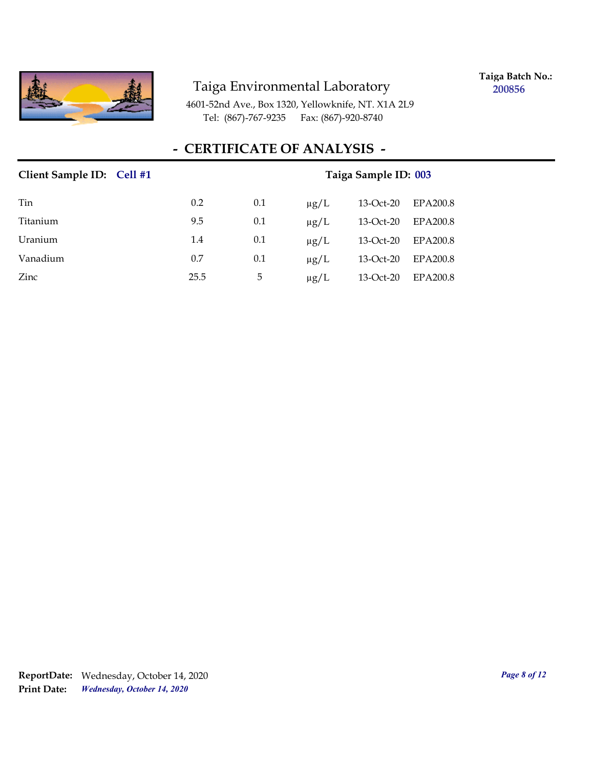

**Taiga Batch No.: 200856**

4601-52nd Ave., Box 1320, Yellowknife, NT. X1A 2L9 Tel: (867)-767-9235 Fax: (867)-920-8740

## **- CERTIFICATE OF ANALYSIS -**

| Client Sample ID: Cell #1 |      |     | Taiga Sample ID: 003 |           |          |
|---------------------------|------|-----|----------------------|-----------|----------|
| Tin                       | 0.2  | 0.1 | $\mu$ g/L            | 13-Oct-20 | EPA200.8 |
| Titanium                  | 9.5  | 0.1 | $\mu$ g/L            | 13-Oct-20 | EPA200.8 |
| Uranium                   | 1.4  | 0.1 | $\mu$ g/L            | 13-Oct-20 | EPA200.8 |
| Vanadium                  | 0.7  | 0.1 | $\mu$ g/L            | 13-Oct-20 | EPA200.8 |
| Zinc                      | 25.5 | 5   | $\mu$ g/L            | 13-Oct-20 | EPA200.8 |

*Wednesday, October 14, 2020* **Print Date: ReportDate:** Wednesday, October 14, 2020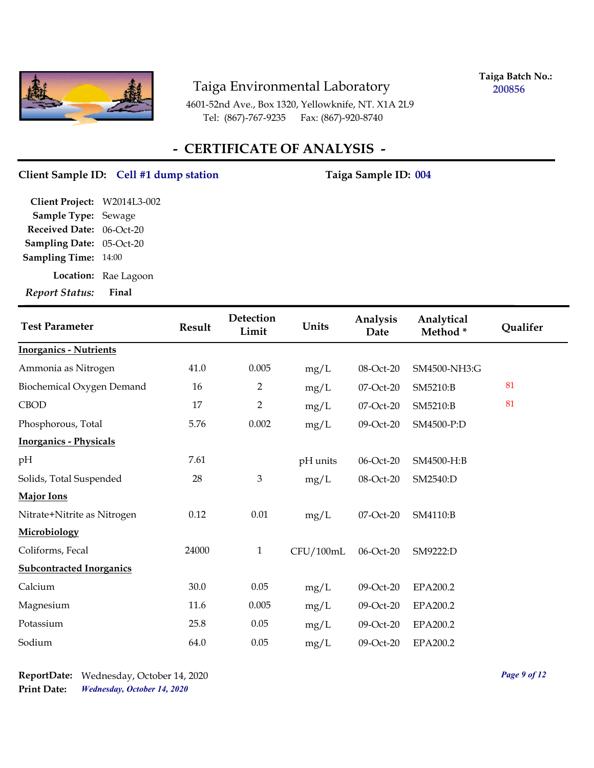

**Taiga Batch No.: 200856**

4601-52nd Ave., Box 1320, Yellowknife, NT. X1A 2L9 Tel: (867)-767-9235 Fax: (867)-920-8740

## **- CERTIFICATE OF ANALYSIS -**

### Client Sample ID: Cell #1 dump station Taiga Sample ID: 004

| Final                       |
|-----------------------------|
| Location: Rae Lagoon        |
| <b>Sampling Time: 14:00</b> |
| Sampling Date: 05-Oct-20    |
| Received Date: 06-Oct-20    |
| Sample Type: Sewage         |
| Client Project: W2014L3-002 |
|                             |

| <b>Test Parameter</b>           | <b>Result</b> | Detection<br>Limit | Units     | Analysis<br>Date | Analytical<br>Method* | Qualifer |
|---------------------------------|---------------|--------------------|-----------|------------------|-----------------------|----------|
| <b>Inorganics - Nutrients</b>   |               |                    |           |                  |                       |          |
| Ammonia as Nitrogen             | 41.0          | 0.005              | mg/L      | 08-Oct-20        | SM4500-NH3:G          |          |
| Biochemical Oxygen Demand       | 16            | $\overline{2}$     | mg/L      | 07-Oct-20        | SM5210:B              | 81       |
| <b>CBOD</b>                     | 17            | $\overline{2}$     | mg/L      | 07-Oct-20        | SM5210:B              | 81       |
| Phosphorous, Total              | 5.76          | 0.002              | mg/L      | 09-Oct-20        | SM4500-P:D            |          |
| <b>Inorganics - Physicals</b>   |               |                    |           |                  |                       |          |
| pH                              | 7.61          |                    | pH units  | 06-Oct-20        | SM4500-H:B            |          |
| Solids, Total Suspended         | 28            | $\mathfrak{Z}$     | mg/L      | 08-Oct-20        | SM2540:D              |          |
| <b>Major Ions</b>               |               |                    |           |                  |                       |          |
| Nitrate+Nitrite as Nitrogen     | 0.12          | 0.01               | mg/L      | 07-Oct-20        | SM4110:B              |          |
| Microbiology                    |               |                    |           |                  |                       |          |
| Coliforms, Fecal                | 24000         | $\mathbf{1}$       | CFU/100mL | 06-Oct-20        | SM9222:D              |          |
| <b>Subcontracted Inorganics</b> |               |                    |           |                  |                       |          |
| Calcium                         | 30.0          | 0.05               | mg/L      | 09-Oct-20        | EPA200.2              |          |
| Magnesium                       | 11.6          | 0.005              | mg/L      | 09-Oct-20        | EPA200.2              |          |
| Potassium                       | 25.8          | 0.05               | mg/L      | 09-Oct-20        | EPA200.2              |          |
| Sodium                          | 64.0          | 0.05               | mg/L      | 09-Oct-20        | EPA200.2              |          |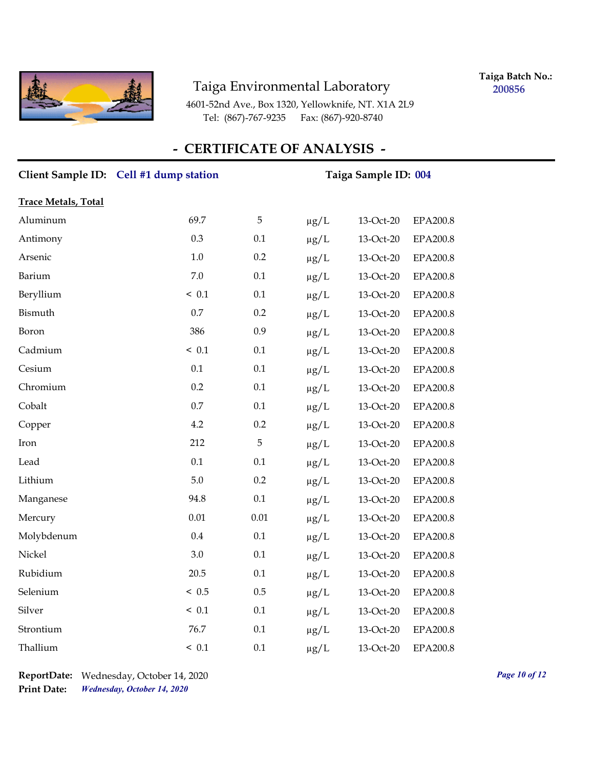

**Taiga Batch No.: 200856**

4601-52nd Ave., Box 1320, Yellowknife, NT. X1A 2L9 Tel: (867)-767-9235 Fax: (867)-920-8740

## **- CERTIFICATE OF ANALYSIS -**

|                            | Client Sample ID: Cell #1 dump station | Taiga Sample ID: 004 |           |           |                 |  |
|----------------------------|----------------------------------------|----------------------|-----------|-----------|-----------------|--|
| <b>Trace Metals, Total</b> |                                        |                      |           |           |                 |  |
| Aluminum                   | 69.7                                   | 5                    | $\mu g/L$ | 13-Oct-20 | EPA200.8        |  |
| Antimony                   | 0.3                                    | 0.1                  | $\mu$ g/L | 13-Oct-20 | EPA200.8        |  |
| Arsenic                    | $1.0\,$                                | 0.2                  | $\mu$ g/L | 13-Oct-20 | <b>EPA200.8</b> |  |
| Barium                     | $7.0\,$                                | $0.1\,$              | $\mu g/L$ | 13-Oct-20 | EPA200.8        |  |
| Beryllium                  | ~< 0.1                                 | 0.1                  | $\mu g/L$ | 13-Oct-20 | EPA200.8        |  |
| Bismuth                    | 0.7                                    | 0.2                  | $\mu g/L$ | 13-Oct-20 | EPA200.8        |  |
| Boron                      | 386                                    | 0.9                  | $\mu g/L$ | 13-Oct-20 | <b>EPA200.8</b> |  |
| Cadmium                    | ~< 0.1                                 | 0.1                  | $\mu$ g/L | 13-Oct-20 | EPA200.8        |  |
| Cesium                     | 0.1                                    | 0.1                  | $\mu g/L$ | 13-Oct-20 | EPA200.8        |  |
| Chromium                   | 0.2                                    | 0.1                  | $\mu g/L$ | 13-Oct-20 | EPA200.8        |  |
| Cobalt                     | $0.7\,$                                | 0.1                  | $\mu g/L$ | 13-Oct-20 | EPA200.8        |  |
| Copper                     | 4.2                                    | 0.2                  | $\mu g/L$ | 13-Oct-20 | <b>EPA200.8</b> |  |
| Iron                       | 212                                    | 5                    | $\mu$ g/L | 13-Oct-20 | EPA200.8        |  |
| Lead                       | 0.1                                    | 0.1                  | $\mu$ g/L | 13-Oct-20 | EPA200.8        |  |
| Lithium                    | 5.0                                    | 0.2                  | $\mu$ g/L | 13-Oct-20 | EPA200.8        |  |
| Manganese                  | 94.8                                   | 0.1                  | $\mu$ g/L | 13-Oct-20 | <b>EPA200.8</b> |  |
| Mercury                    | $0.01\,$                               | $0.01\,$             | $\mu g/L$ | 13-Oct-20 | EPA200.8        |  |
| Molybdenum                 | 0.4                                    | 0.1                  | $\mu$ g/L | 13-Oct-20 | EPA200.8        |  |
| Nickel                     | 3.0                                    | 0.1                  | $\mu$ g/L | 13-Oct-20 | <b>EPA200.8</b> |  |
| Rubidium                   | 20.5                                   | 0.1                  | $\mu$ g/L | 13-Oct-20 | EPA200.8        |  |
| Selenium                   | ~< 0.5                                 | 0.5                  | $\mu$ g/L | 13-Oct-20 | <b>EPA200.8</b> |  |
| Silver                     | ~< 0.1                                 | 0.1                  | $\mu$ g/L | 13-Oct-20 | EPA200.8        |  |
| Strontium                  | 76.7                                   | 0.1                  | $\mu g/L$ | 13-Oct-20 | EPA200.8        |  |
| Thallium                   | ~< 0.1                                 | 0.1                  | $\mu$ g/L | 13-Oct-20 | <b>EPA200.8</b> |  |

*Wednesday, October 14, 2020* **Print Date: ReportDate:** Wednesday, October 14, 2020 *Page 10 of 12*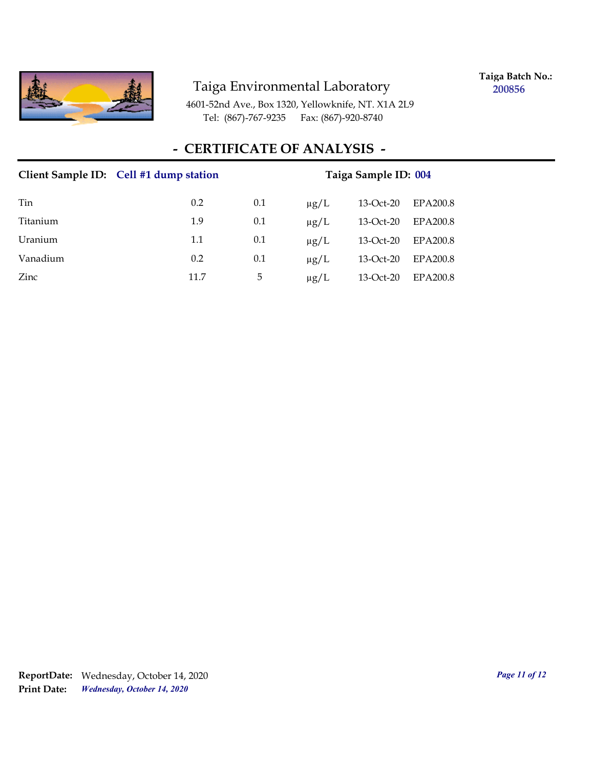

**Taiga Batch No.: 200856**

4601-52nd Ave., Box 1320, Yellowknife, NT. X1A 2L9 Tel: (867)-767-9235 Fax: (867)-920-8740

## **- CERTIFICATE OF ANALYSIS -**

|          | Client Sample ID: Cell #1 dump station | Taiga Sample ID: 004 |           |           |          |  |
|----------|----------------------------------------|----------------------|-----------|-----------|----------|--|
| Tin      | 0.2                                    | 0.1                  | $\mu$ g/L | 13-Oct-20 | EPA200.8 |  |
| Titanium | 1.9                                    | 0.1                  | $\mu$ g/L | 13-Oct-20 | EPA200.8 |  |
| Uranium  | 1.1                                    | 0.1                  | $\mu$ g/L | 13-Oct-20 | EPA200.8 |  |
| Vanadium | 0.2                                    | 0.1                  | $\mu$ g/L | 13-Oct-20 | EPA200.8 |  |
| Zinc     | 11.7                                   | 5                    | $\mu$ g/L | 13-Oct-20 | EPA200.8 |  |

*Wednesday, October 14, 2020* **Print Date: ReportDate:** Wednesday, October 14, 2020